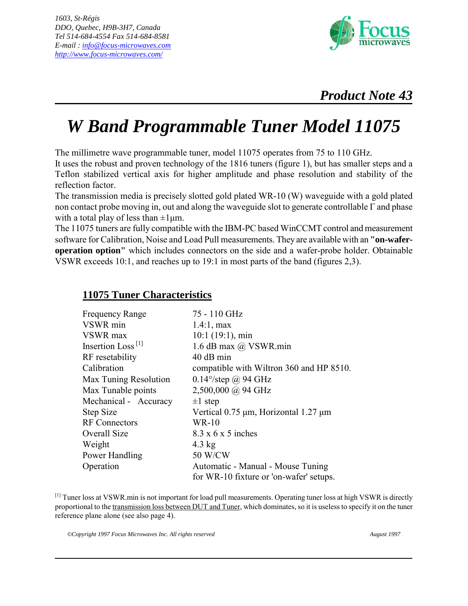

## *W Band Programmable Tuner Model 11075*

The millimetre wave programmable tuner, model 11075 operates from 75 to 110 GHz.

It uses the robust and proven technology of the 1816 tuners (figure 1), but has smaller steps and a Teflon stabilized vertical axis for higher amplitude and phase resolution and stability of the reflection factor.

The transmission media is precisely slotted gold plated WR-10 (W) waveguide with a gold plated non contact probe moving in, out and along the waveguide slot to generate controllable Γ and phase with a total play of less than  $\pm 1 \mu m$ .

The 11075 tuners are fully compatible with the IBM-PC based WinCCMT control and measurement software for Calibration, Noise and Load Pull measurements. They are available with an **"on-waferoperation option"** which includes connectors on the side and a wafer-probe holder. Obtainable VSWR exceeds 10:1, and reaches up to 19:1 in most parts of the band (figures 2,3).

## **11075 Tuner Characteristics**

| <b>Frequency Range</b>        | 75 - 110 GHz                                    |
|-------------------------------|-------------------------------------------------|
| VSWR min                      | $1.4:1$ , max                                   |
| VSWR max                      | $10:1$ (19:1), min                              |
| Insertion Loss <sup>[1]</sup> | 1.6 dB max @ VSWR.min                           |
| RF resetability               | 40 dB min                                       |
| Calibration                   | compatible with Wiltron 360 and HP 8510.        |
| Max Tuning Resolution         | $0.14^{\circ}/\text{step}$ @ 94 GHz             |
| Max Tunable points            | $2,500,000$ @ 94 GHz                            |
| Mechanical - Accuracy         | $\pm 1$ step                                    |
| Step Size                     | Vertical $0.75 \mu m$ , Horizontal 1.27 $\mu m$ |
| <b>RF</b> Connectors          | $WR-10$                                         |
| Overall Size                  | $8.3 \times 6 \times 5$ inches                  |
| Weight                        | $4.3 \text{ kg}$                                |
| Power Handling                | 50 W/CW                                         |
| Operation                     | Automatic - Manual - Mouse Tuning               |
|                               | for WR-10 fixture or 'on-wafer' setups.         |

[1] Tuner loss at VSWR min is not important for load pull measurements. Operating tuner loss at high VSWR is directly proportional to the transmission loss between DUT and Tuner, which dominates, so it is useless to specify it on the tuner reference plane alone (see also page 4).

*©Copyright 1997 Focus Microwaves Inc. All rights reserved August 1997*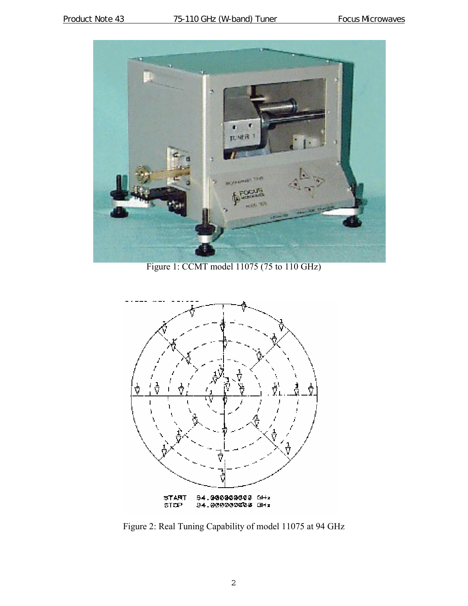

Figure 1: CCMT model 11075 (75 to 110 GHz)



Figure 2: Real Tuning Capability of model 11075 at 94 GHz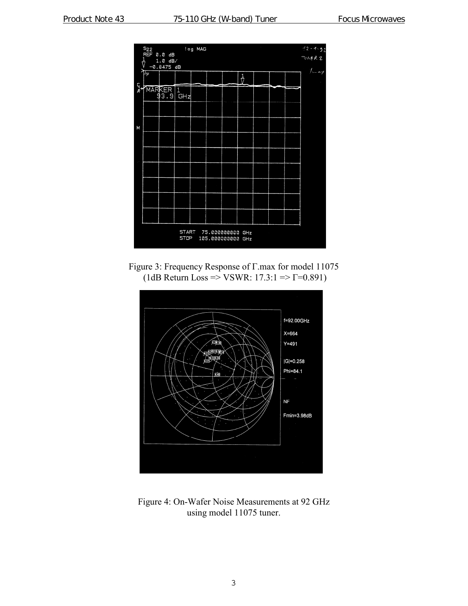

Figure 3: Frequency Response of Γ.max for model 11075 (1dB Return Loss => VSWR: 17.3:1 =>  $\Gamma$ =0.891)



Figure 4: On-Wafer Noise Measurements at 92 GHz using model 11075 tuner.